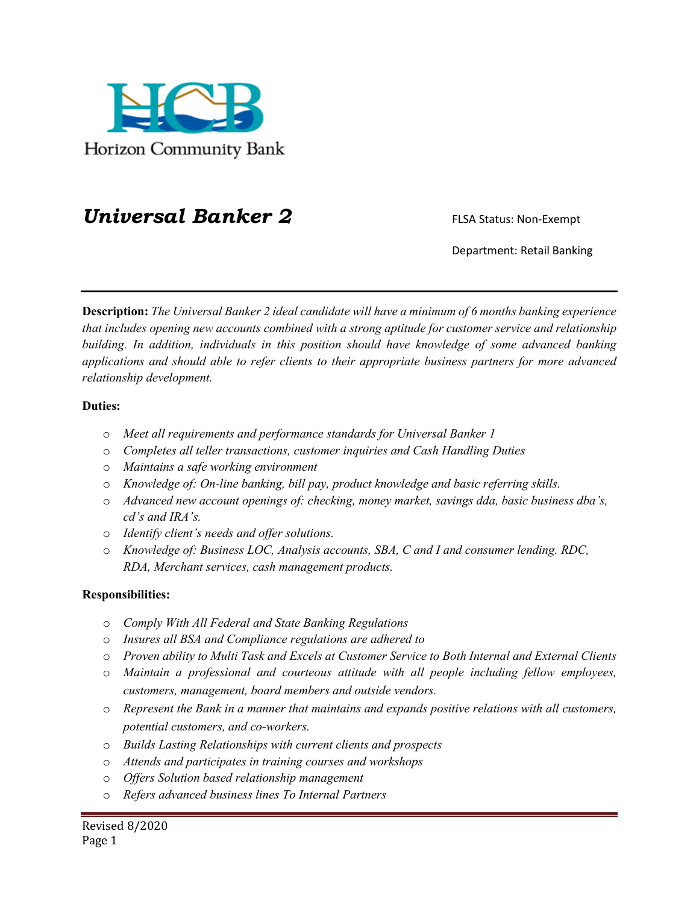

## **Universal Banker 2** FLSA Status: Non-Exempt

Department: Retail Banking

**Description:** *The Universal Banker 2 ideal candidate will have a minimum of 6 months banking experience that includes opening new accounts combined with a strong aptitude for customer service and relationship building. In addition, individuals in this position should have knowledge of some advanced banking applications and should able to refer clients to their appropriate business partners for more advanced relationship development.* 

## **Duties:**

- o *Meet all requirements and performance standards for Universal Banker 1*
- o *Completes all teller transactions, customer inquiries and Cash Handling Duties*
- o *Maintains a safe working environment*
- o *Knowledge of: On-line banking, bill pay, product knowledge and basic referring skills.*
- o *Advanced new account openings of: checking, money market, savings dda, basic business dba's, cd's and IRA's.*
- o *Identify client's needs and offer solutions.*
- o *Knowledge of: Business LOC, Analysis accounts, SBA, C and I and consumer lending. RDC, RDA, Merchant services, cash management products.*

## **Responsibilities:**

- o *Comply With All Federal and State Banking Regulations*
- o *Insures all BSA and Compliance regulations are adhered to*
- o *Proven ability to Multi Task and Excels at Customer Service to Both Internal and External Clients*
- o *Maintain a professional and courteous attitude with all people including fellow employees, customers, management, board members and outside vendors.*
- o *Represent the Bank in a manner that maintains and expands positive relations with all customers, potential customers, and co-workers.*
- o *Builds Lasting Relationships with current clients and prospects*
- o *Attends and participates in training courses and workshops*
- o *Offers Solution based relationship management*
- o *Refers advanced business lines To Internal Partners*